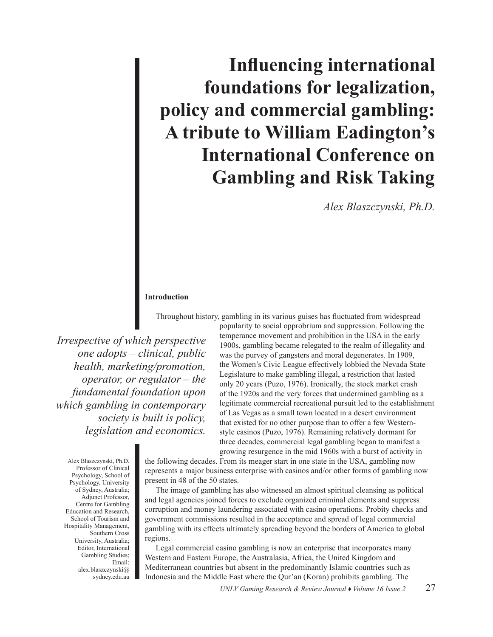# **Influencing international foundations for legalization, policy and commercial gambling: A tribute to William Eadington's International Conference on Gambling and Risk Taking**

*Alex Blaszczynski, Ph.D.*

## **Introduction**

Throughout history, gambling in its various guises has fluctuated from widespread

*Irrespective of which perspective one adopts – clinical, public health, marketing/promotion, operator, or regulator – the fundamental foundation upon which gambling in contemporary society is built is policy, legislation and economics.* 

popularity to social opprobrium and suppression. Following the temperance movement and prohibition in the USA in the early 1900s, gambling became relegated to the realm of illegality and was the purvey of gangsters and moral degenerates. In 1909, the Women's Civic League effectively lobbied the Nevada State Legislature to make gambling illegal, a restriction that lasted only 20 years (Puzo, 1976). Ironically, the stock market crash of the 1920s and the very forces that undermined gambling as a legitimate commercial recreational pursuit led to the establishment of Las Vegas as a small town located in a desert environment that existed for no other purpose than to offer a few Westernstyle casinos (Puzo, 1976). Remaining relatively dormant for three decades, commercial legal gambling began to manifest a growing resurgence in the mid 1960s with a burst of activity in

Alex Blaszczynski, Ph.D. Professor of Clinical Psychology, School of Psychology, University of Sydney, Australia; Adjunct Professor, Centre for Gambling Education and Research, School of Tourism and Hospitality Management, Southern Cross University, Australia; Editor, International Gambling Studies; Email: alex.blaszczynski@ sydney.edu.au

the following decades. From its meager start in one state in the USA, gambling now represents a major business enterprise with casinos and/or other forms of gambling now present in 48 of the 50 states.

The image of gambling has also witnessed an almost spiritual cleansing as political and legal agencies joined forces to exclude organized criminal elements and suppress corruption and money laundering associated with casino operations. Probity checks and government commissions resulted in the acceptance and spread of legal commercial gambling with its effects ultimately spreading beyond the borders of America to global regions.

Legal commercial casino gambling is now an enterprise that incorporates many Western and Eastern Europe, the Australasia, Africa, the United Kingdom and Mediterranean countries but absent in the predominantly Islamic countries such as Indonesia and the Middle East where the Qur'an (Koran) prohibits gambling. The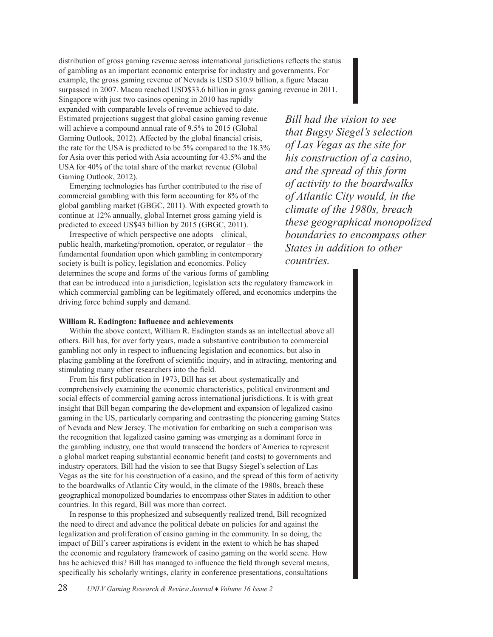distribution of gross gaming revenue across international jurisdictions reflects the status of gambling as an important economic enterprise for industry and governments. For example, the gross gaming revenue of Nevada is USD \$10.9 billion, a figure Macau surpassed in 2007. Macau reached USD\$33.6 billion in gross gaming revenue in 2011.

Singapore with just two casinos opening in 2010 has rapidly expanded with comparable levels of revenue achieved to date. Estimated projections suggest that global casino gaming revenue will achieve a compound annual rate of 9.5% to 2015 (Global Gaming Outlook, 2012). Affected by the global financial crisis, the rate for the USA is predicted to be 5% compared to the 18.3% for Asia over this period with Asia accounting for 43.5% and the USA for 40% of the total share of the market revenue (Global Gaming Outlook, 2012).

Emerging technologies has further contributed to the rise of commercial gambling with this form accounting for 8% of the global gambling market (GBGC, 2011). With expected growth to continue at 12% annually, global Internet gross gaming yield is predicted to exceed US\$43 billion by 2015 (GBGC, 2011).

Irrespective of which perspective one adopts – clinical, public health, marketing/promotion, operator, or regulator – the fundamental foundation upon which gambling in contemporary society is built is policy, legislation and economics. Policy determines the scope and forms of the various forms of gambling

*Bill had the vision to see that Bugsy Siegel's selection of Las Vegas as the site for his construction of a casino, and the spread of this form of activity to the boardwalks of Atlantic City would, in the climate of the 1980s, breach these geographical monopolized boundaries to encompass other States in addition to other countries.* 

that can be introduced into a jurisdiction, legislation sets the regulatory framework in which commercial gambling can be legitimately offered, and economics underpins the driving force behind supply and demand.

### **William R. Eadington: Influence and achievements**

Within the above context, William R. Eadington stands as an intellectual above all others. Bill has, for over forty years, made a substantive contribution to commercial gambling not only in respect to influencing legislation and economics, but also in placing gambling at the forefront of scientific inquiry, and in attracting, mentoring and stimulating many other researchers into the field.

From his first publication in 1973, Bill has set about systematically and comprehensively examining the economic characteristics, political environment and social effects of commercial gaming across international jurisdictions. It is with great insight that Bill began comparing the development and expansion of legalized casino gaming in the US, particularly comparing and contrasting the pioneering gaming States of Nevada and New Jersey. The motivation for embarking on such a comparison was the recognition that legalized casino gaming was emerging as a dominant force in the gambling industry, one that would transcend the borders of America to represent a global market reaping substantial economic benefit (and costs) to governments and industry operators. Bill had the vision to see that Bugsy Siegel's selection of Las Vegas as the site for his construction of a casino, and the spread of this form of activity to the boardwalks of Atlantic City would, in the climate of the 1980s, breach these geographical monopolized boundaries to encompass other States in addition to other countries. In this regard, Bill was more than correct.

In response to this prophesized and subsequently realized trend, Bill recognized the need to direct and advance the political debate on policies for and against the legalization and proliferation of casino gaming in the community. In so doing, the impact of Bill's career aspirations is evident in the extent to which he has shaped the economic and regulatory framework of casino gaming on the world scene. How has he achieved this? Bill has managed to influence the field through several means, specifically his scholarly writings, clarity in conference presentations, consultations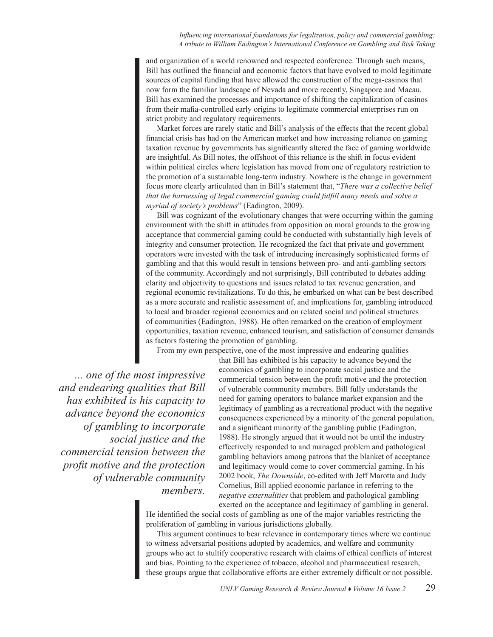*Influencing international foundations for legalization, policy and commercial gambling: A tribute to William Eadington's International Conference on Gambling and Risk Taking*

and organization of a world renowned and respected conference. Through such means, Bill has outlined the financial and economic factors that have evolved to mold legitimate sources of capital funding that have allowed the construction of the mega-casinos that now form the familiar landscape of Nevada and more recently, Singapore and Macau. Bill has examined the processes and importance of shifting the capitalization of casinos from their mafia-controlled early origins to legitimate commercial enterprises run on strict probity and regulatory requirements.

Market forces are rarely static and Bill's analysis of the effects that the recent global financial crisis has had on the American market and how increasing reliance on gaming taxation revenue by governments has significantly altered the face of gaming worldwide are insightful. As Bill notes, the offshoot of this reliance is the shift in focus evident within political circles where legislation has moved from one of regulatory restriction to the promotion of a sustainable long-term industry. Nowhere is the change in government focus more clearly articulated than in Bill's statement that, "*There was a collective belief that the harnessing of legal commercial gaming could fulfill many needs and solve a myriad of society's problems*" (Eadington, 2009).

Bill was cognizant of the evolutionary changes that were occurring within the gaming environment with the shift in attitudes from opposition on moral grounds to the growing acceptance that commercial gaming could be conducted with substantially high levels of integrity and consumer protection. He recognized the fact that private and government operators were invested with the task of introducing increasingly sophisticated forms of gambling and that this would result in tensions between pro- and anti-gambling sectors of the community. Accordingly and not surprisingly, Bill contributed to debates adding clarity and objectivity to questions and issues related to tax revenue generation, and regional economic revitalizations. To do this, he embarked on what can be best described as a more accurate and realistic assessment of, and implications for, gambling introduced to local and broader regional economies and on related social and political structures of communities (Eadington, 1988). He often remarked on the creation of employment opportunities, taxation revenue, enhanced tourism, and satisfaction of consumer demands as factors fostering the promotion of gambling.

From my own perspective, one of the most impressive and endearing qualities

*... one of the most impressive and endearing qualities that Bill has exhibited is his capacity to advance beyond the economics of gambling to incorporate social justice and the commercial tension between the profit motive and the protection of vulnerable community members.* 

that Bill has exhibited is his capacity to advance beyond the economics of gambling to incorporate social justice and the commercial tension between the profit motive and the protection of vulnerable community members. Bill fully understands the need for gaming operators to balance market expansion and the legitimacy of gambling as a recreational product with the negative consequences experienced by a minority of the general population, and a significant minority of the gambling public (Eadington, 1988). He strongly argued that it would not be until the industry effectively responded to and managed problem and pathological gambling behaviors among patrons that the blanket of acceptance and legitimacy would come to cover commercial gaming. In his 2002 book, *The Downside*, co-edited with Jeff Marotta and Judy Cornelius, Bill applied economic parlance in referring to the *negative externalities* that problem and pathological gambling exerted on the acceptance and legitimacy of gambling in general.

He identified the social costs of gambling as one of the major variables restricting the proliferation of gambling in various jurisdictions globally.

This argument continues to bear relevance in contemporary times where we continue to witness adversarial positions adopted by academics, and welfare and community groups who act to stultify cooperative research with claims of ethical conflicts of interest and bias. Pointing to the experience of tobacco, alcohol and pharmaceutical research, these groups argue that collaborative efforts are either extremely difficult or not possible.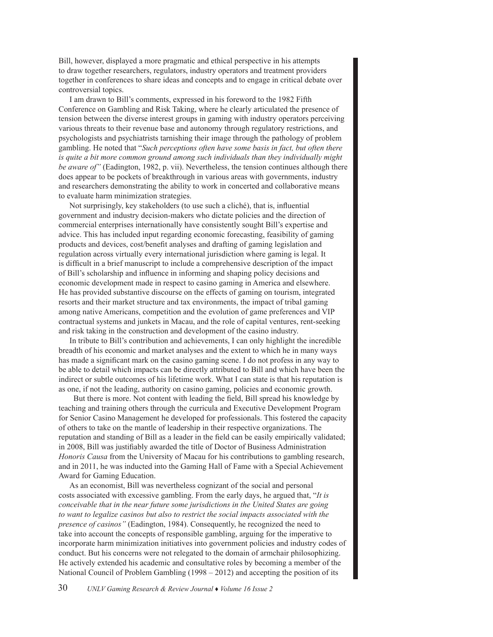Bill, however, displayed a more pragmatic and ethical perspective in his attempts to draw together researchers, regulators, industry operators and treatment providers together in conferences to share ideas and concepts and to engage in critical debate over controversial topics.

I am drawn to Bill's comments, expressed in his foreword to the 1982 Fifth Conference on Gambling and Risk Taking, where he clearly articulated the presence of tension between the diverse interest groups in gaming with industry operators perceiving various threats to their revenue base and autonomy through regulatory restrictions, and psychologists and psychiatrists tarnishing their image through the pathology of problem gambling. He noted that "*Such perceptions often have some basis in fact, but often there is quite a bit more common ground among such individuals than they individually might be aware of"* (Eadington, 1982, p. vii). Nevertheless, the tension continues although there does appear to be pockets of breakthrough in various areas with governments, industry and researchers demonstrating the ability to work in concerted and collaborative means to evaluate harm minimization strategies.

Not surprisingly, key stakeholders (to use such a cliché), that is, influential government and industry decision-makers who dictate policies and the direction of commercial enterprises internationally have consistently sought Bill's expertise and advice. This has included input regarding economic forecasting, feasibility of gaming products and devices, cost/benefit analyses and drafting of gaming legislation and regulation across virtually every international jurisdiction where gaming is legal. It is difficult in a brief manuscript to include a comprehensive description of the impact of Bill's scholarship and influence in informing and shaping policy decisions and economic development made in respect to casino gaming in America and elsewhere. He has provided substantive discourse on the effects of gaming on tourism, integrated resorts and their market structure and tax environments, the impact of tribal gaming among native Americans, competition and the evolution of game preferences and VIP contractual systems and junkets in Macau, and the role of capital ventures, rent-seeking and risk taking in the construction and development of the casino industry.

In tribute to Bill's contribution and achievements, I can only highlight the incredible breadth of his economic and market analyses and the extent to which he in many ways has made a significant mark on the casino gaming scene. I do not profess in any way to be able to detail which impacts can be directly attributed to Bill and which have been the indirect or subtle outcomes of his lifetime work. What I can state is that his reputation is as one, if not the leading, authority on casino gaming, policies and economic growth.

 But there is more. Not content with leading the field, Bill spread his knowledge by teaching and training others through the curricula and Executive Development Program for Senior Casino Management he developed for professionals. This fostered the capacity of others to take on the mantle of leadership in their respective organizations. The reputation and standing of Bill as a leader in the field can be easily empirically validated; in 2008, Bill was justifiably awarded the title of Doctor of Business Administration *Honoris Causa* from the University of Macau for his contributions to gambling research, and in 2011, he was inducted into the Gaming Hall of Fame with a Special Achievement Award for Gaming Education.

As an economist, Bill was nevertheless cognizant of the social and personal costs associated with excessive gambling. From the early days, he argued that, "*It is conceivable that in the near future some jurisdictions in the United States are going to want to legalize casinos but also to restrict the social impacts associated with the presence of casinos"* (Eadington, 1984). Consequently, he recognized the need to take into account the concepts of responsible gambling, arguing for the imperative to incorporate harm minimization initiatives into government policies and industry codes of conduct. But his concerns were not relegated to the domain of armchair philosophizing. He actively extended his academic and consultative roles by becoming a member of the National Council of Problem Gambling (1998 – 2012) and accepting the position of its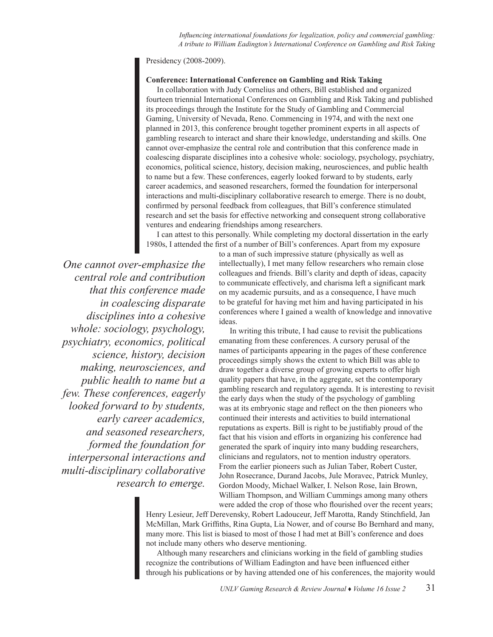*Influencing international foundations for legalization, policy and commercial gambling: A tribute to William Eadington's International Conference on Gambling and Risk Taking*

Presidency (2008-2009).

# **Conference: International Conference on Gambling and Risk Taking**

In collaboration with Judy Cornelius and others, Bill established and organized fourteen triennial International Conferences on Gambling and Risk Taking and published its proceedings through the Institute for the Study of Gambling and Commercial Gaming, University of Nevada, Reno. Commencing in 1974, and with the next one planned in 2013, this conference brought together prominent experts in all aspects of gambling research to interact and share their knowledge, understanding and skills. One cannot over-emphasize the central role and contribution that this conference made in coalescing disparate disciplines into a cohesive whole: sociology, psychology, psychiatry, economics, political science, history, decision making, neurosciences, and public health to name but a few. These conferences, eagerly looked forward to by students, early career academics, and seasoned researchers, formed the foundation for interpersonal interactions and multi-disciplinary collaborative research to emerge. There is no doubt, confirmed by personal feedback from colleagues, that Bill's conference stimulated research and set the basis for effective networking and consequent strong collaborative ventures and endearing friendships among researchers.

I can attest to this personally. While completing my doctoral dissertation in the early 1980s, I attended the first of a number of Bill's conferences. Apart from my exposure

*One cannot over-emphasize the central role and contribution that this conference made in coalescing disparate disciplines into a cohesive whole: sociology, psychology, psychiatry, economics, political science, history, decision making, neurosciences, and public health to name but a few. These conferences, eagerly looked forward to by students, early career academics, and seasoned researchers, formed the foundation for interpersonal interactions and multi-disciplinary collaborative research to emerge.* 

to a man of such impressive stature (physically as well as intellectually), I met many fellow researchers who remain close colleagues and friends. Bill's clarity and depth of ideas, capacity to communicate effectively, and charisma left a significant mark on my academic pursuits, and as a consequence, I have much to be grateful for having met him and having participated in his conferences where I gained a wealth of knowledge and innovative ideas.

In writing this tribute, I had cause to revisit the publications emanating from these conferences. A cursory perusal of the names of participants appearing in the pages of these conference proceedings simply shows the extent to which Bill was able to draw together a diverse group of growing experts to offer high quality papers that have, in the aggregate, set the contemporary gambling research and regulatory agenda. It is interesting to revisit the early days when the study of the psychology of gambling was at its embryonic stage and reflect on the then pioneers who continued their interests and activities to build international reputations as experts. Bill is right to be justifiably proud of the fact that his vision and efforts in organizing his conference had generated the spark of inquiry into many budding researchers, clinicians and regulators, not to mention industry operators. From the earlier pioneers such as Julian Taber, Robert Custer, John Rosecrance, Durand Jacobs, Jule Moravec, Patrick Munley, Gordon Moody, Michael Walker, I. Nelson Rose, Iain Brown, William Thompson, and William Cummings among many others were added the crop of those who flourished over the recent years;

Henry Lesieur, Jeff Derevensky, Robert Ladouceur, Jeff Marotta, Randy Stinchfield, Jan McMillan, Mark Griffiths, Rina Gupta, Lia Nower, and of course Bo Bernhard and many, many more. This list is biased to most of those I had met at Bill's conference and does not include many others who deserve mentioning.

Although many researchers and clinicians working in the field of gambling studies recognize the contributions of William Eadington and have been influenced either through his publications or by having attended one of his conferences, the majority would